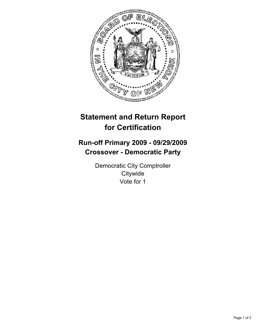

# **Statement and Return Report for Certification**

## **Run-off Primary 2009 - 09/29/2009 Crossover - Democratic Party**

Democratic City Comptroller **Citywide** Vote for 1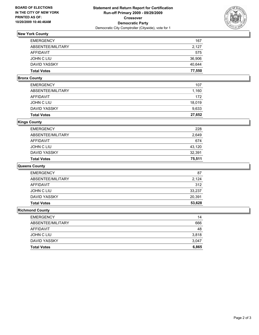

### **New York County**

| <b>EMERGENCY</b>   | 167    |
|--------------------|--------|
| ABSENTEE/MILITARY  | 2.127  |
| AFFIDAVIT          | 575    |
| JOHN C LIU         | 36,906 |
| DAVID YASSKY       | 40,644 |
| <b>Total Votes</b> | 77,550 |

#### **Bronx County**

| <b>Total Votes</b> | 27,652 |
|--------------------|--------|
| DAVID YASSKY       | 9,633  |
| JOHN C LIU         | 18.019 |
| AFFIDAVIT          | 172    |
| ABSENTEE/MILITARY  | 1,160  |
| <b>EMERGENCY</b>   | 107    |

#### **Kings County**

| <b>Total Votes</b> | 75.511 |
|--------------------|--------|
| DAVID YASSKY       | 32.391 |
| JOHN C LIU         | 43.120 |
| AFFIDAVIT          | 674    |
| ABSENTEE/MILITARY  | 2.649  |
| <b>EMERGENCY</b>   | 228    |

#### **Queens County**

| <b>EMERGENCY</b>   | 87     |
|--------------------|--------|
| ABSENTEE/MILITARY  | 2.124  |
| AFFIDAVIT          | 312    |
| JOHN C LIU         | 33,237 |
| DAVID YASSKY       | 20,391 |
| <b>Total Votes</b> | 53,628 |

#### **Richmond County**

| <b>Total Votes</b> | 6,865 |
|--------------------|-------|
| DAVID YASSKY       | 3,047 |
| JOHN C LIU         | 3.818 |
| AFFIDAVIT          | 48    |
| ABSENTEE/MILITARY  | 666   |
| <b>EMERGENCY</b>   | 14    |